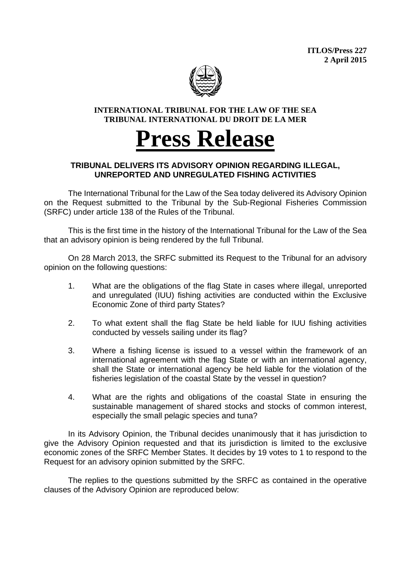

# **INTERNATIONAL TRIBUNAL FOR THE LAW OF THE SEA TRIBUNAL INTERNATIONAL DU DROIT DE LA MER**

# **Press Release**

# **TRIBUNAL DELIVERS ITS ADVISORY OPINION REGARDING ILLEGAL, UNREPORTED AND UNREGULATED FISHING ACTIVITIES**

The International Tribunal for the Law of the Sea today delivered its Advisory Opinion on the Request submitted to the Tribunal by the Sub-Regional Fisheries Commission (SRFC) under article 138 of the Rules of the Tribunal.

This is the first time in the history of the International Tribunal for the Law of the Sea that an advisory opinion is being rendered by the full Tribunal.

On 28 March 2013, the SRFC submitted its Request to the Tribunal for an advisory opinion on the following questions:

- 1. What are the obligations of the flag State in cases where illegal, unreported and unregulated (IUU) fishing activities are conducted within the Exclusive Economic Zone of third party States?
- 2. To what extent shall the flag State be held liable for IUU fishing activities conducted by vessels sailing under its flag?
- 3. Where a fishing license is issued to a vessel within the framework of an international agreement with the flag State or with an international agency, shall the State or international agency be held liable for the violation of the fisheries legislation of the coastal State by the vessel in question?
- 4. What are the rights and obligations of the coastal State in ensuring the sustainable management of shared stocks and stocks of common interest, especially the small pelagic species and tuna?

In its Advisory Opinion, the Tribunal decides unanimously that it has jurisdiction to give the Advisory Opinion requested and that its jurisdiction is limited to the exclusive economic zones of the SRFC Member States. It decides by 19 votes to 1 to respond to the Request for an advisory opinion submitted by the SRFC.

The replies to the questions submitted by the SRFC as contained in the operative clauses of the Advisory Opinion are reproduced below: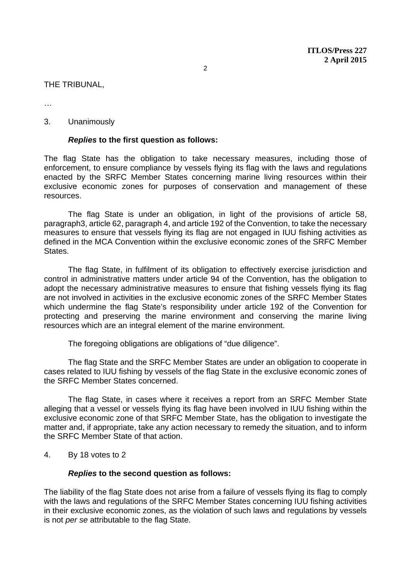#### THE TRIBUNAL,

…

## 3. Unanimously

#### *Replies* **to the first question as follows:**

The flag State has the obligation to take necessary measures, including those of enforcement, to ensure compliance by vessels flying its flag with the laws and regulations enacted by the SRFC Member States concerning marine living resources within their exclusive economic zones for purposes of conservation and management of these resources.

 The flag State is under an obligation, in light of the provisions of article 58, paragraph3, article 62, paragraph 4, and article 192 of the Convention, to take the necessary measures to ensure that vessels flying its flag are not engaged in IUU fishing activities as defined in the MCA Convention within the exclusive economic zones of the SRFC Member States.

 The flag State, in fulfilment of its obligation to effectively exercise jurisdiction and control in administrative matters under article 94 of the Convention, has the obligation to adopt the necessary administrative measures to ensure that fishing vessels flying its flag are not involved in activities in the exclusive economic zones of the SRFC Member States which undermine the flag State's responsibility under article 192 of the Convention for protecting and preserving the marine environment and conserving the marine living resources which are an integral element of the marine environment.

The foregoing obligations are obligations of "due diligence".

 The flag State and the SRFC Member States are under an obligation to cooperate in cases related to IUU fishing by vessels of the flag State in the exclusive economic zones of the SRFC Member States concerned.

 The flag State, in cases where it receives a report from an SRFC Member State alleging that a vessel or vessels flying its flag have been involved in IUU fishing within the exclusive economic zone of that SRFC Member State, has the obligation to investigate the matter and, if appropriate, take any action necessary to remedy the situation, and to inform the SRFC Member State of that action.

4. By 18 votes to 2

#### *Replies* **to the second question as follows:**

The liability of the flag State does not arise from a failure of vessels flying its flag to comply with the laws and regulations of the SRFC Member States concerning IUU fishing activities in their exclusive economic zones, as the violation of such laws and regulations by vessels is not *per se* attributable to the flag State.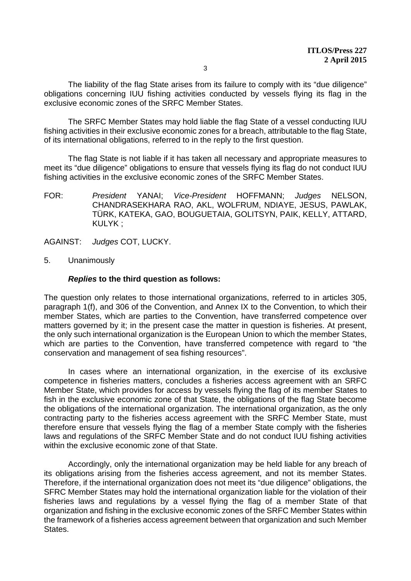The liability of the flag State arises from its failure to comply with its "due diligence" obligations concerning IUU fishing activities conducted by vessels flying its flag in the exclusive economic zones of the SRFC Member States.

The SRFC Member States may hold liable the flag State of a vessel conducting IUU fishing activities in their exclusive economic zones for a breach, attributable to the flag State, of its international obligations, referred to in the reply to the first question.

The flag State is not liable if it has taken all necessary and appropriate measures to meet its "due diligence" obligations to ensure that vessels flying its flag do not conduct IUU fishing activities in the exclusive economic zones of the SRFC Member States.

- FOR: *President* YANAI; *Vice-President* HOFFMANN; *Judges* NELSON, CHANDRASEKHARA RAO, AKL, WOLFRUM, NDIAYE, JESUS, PAWLAK, TÜRK, KATEKA, GAO, BOUGUETAIA, GOLITSYN, PAIK, KELLY, ATTARD, KULYK ;
- AGAINST: *Judges* COT, LUCKY.
- 5. Unanimously

## *Replies* **to the third question as follows:**

The question only relates to those international organizations, referred to in articles 305, paragraph 1(f), and 306 of the Convention, and Annex IX to the Convention, to which their member States, which are parties to the Convention, have transferred competence over matters governed by it; in the present case the matter in question is fisheries. At present, the only such international organization is the European Union to which the member States, which are parties to the Convention, have transferred competence with regard to "the conservation and management of sea fishing resources".

In cases where an international organization, in the exercise of its exclusive competence in fisheries matters, concludes a fisheries access agreement with an SRFC Member State, which provides for access by vessels flying the flag of its member States to fish in the exclusive economic zone of that State, the obligations of the flag State become the obligations of the international organization. The international organization, as the only contracting party to the fisheries access agreement with the SRFC Member State, must therefore ensure that vessels flying the flag of a member State comply with the fisheries laws and regulations of the SRFC Member State and do not conduct IUU fishing activities within the exclusive economic zone of that State.

Accordingly, only the international organization may be held liable for any breach of its obligations arising from the fisheries access agreement, and not its member States. Therefore, if the international organization does not meet its "due diligence" obligations, the SFRC Member States may hold the international organization liable for the violation of their fisheries laws and regulations by a vessel flying the flag of a member State of that organization and fishing in the exclusive economic zones of the SRFC Member States within the framework of a fisheries access agreement between that organization and such Member States.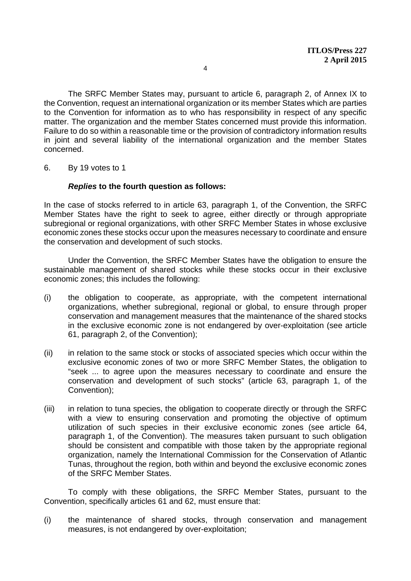The SRFC Member States may, pursuant to article 6, paragraph 2, of Annex IX to the Convention, request an international organization or its member States which are parties to the Convention for information as to who has responsibility in respect of any specific matter. The organization and the member States concerned must provide this information. Failure to do so within a reasonable time or the provision of contradictory information results in joint and several liability of the international organization and the member States concerned.

6. By 19 votes to 1

# *Replies* **to the fourth question as follows:**

In the case of stocks referred to in article 63, paragraph 1, of the Convention, the SRFC Member States have the right to seek to agree, either directly or through appropriate subregional or regional organizations, with other SRFC Member States in whose exclusive economic zones these stocks occur upon the measures necessary to coordinate and ensure the conservation and development of such stocks.

 Under the Convention, the SRFC Member States have the obligation to ensure the sustainable management of shared stocks while these stocks occur in their exclusive economic zones; this includes the following:

- (i) the obligation to cooperate, as appropriate, with the competent international organizations, whether subregional, regional or global, to ensure through proper conservation and management measures that the maintenance of the shared stocks in the exclusive economic zone is not endangered by over-exploitation (see article 61, paragraph 2, of the Convention);
- (ii) in relation to the same stock or stocks of associated species which occur within the exclusive economic zones of two or more SRFC Member States, the obligation to "seek ... to agree upon the measures necessary to coordinate and ensure the conservation and development of such stocks" (article 63, paragraph 1, of the Convention);
- (iii) in relation to tuna species, the obligation to cooperate directly or through the SRFC with a view to ensuring conservation and promoting the objective of optimum utilization of such species in their exclusive economic zones (see article 64, paragraph 1, of the Convention). The measures taken pursuant to such obligation should be consistent and compatible with those taken by the appropriate regional organization, namely the International Commission for the Conservation of Atlantic Tunas, throughout the region, both within and beyond the exclusive economic zones of the SRFC Member States.

To comply with these obligations, the SRFC Member States, pursuant to the Convention, specifically articles 61 and 62, must ensure that:

(i) the maintenance of shared stocks, through conservation and management measures, is not endangered by over-exploitation;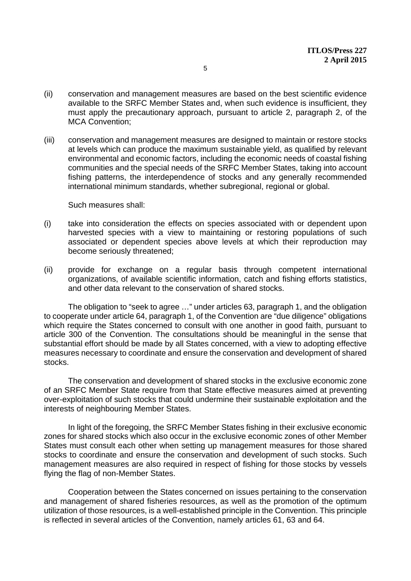- (ii) conservation and management measures are based on the best scientific evidence available to the SRFC Member States and, when such evidence is insufficient, they must apply the precautionary approach, pursuant to article 2, paragraph 2, of the MCA Convention;
- (iii) conservation and management measures are designed to maintain or restore stocks at levels which can produce the maximum sustainable yield, as qualified by relevant environmental and economic factors, including the economic needs of coastal fishing communities and the special needs of the SRFC Member States, taking into account fishing patterns, the interdependence of stocks and any generally recommended international minimum standards, whether subregional, regional or global.

Such measures shall:

- (i) take into consideration the effects on species associated with or dependent upon harvested species with a view to maintaining or restoring populations of such associated or dependent species above levels at which their reproduction may become seriously threatened;
- (ii) provide for exchange on a regular basis through competent international organizations, of available scientific information, catch and fishing efforts statistics, and other data relevant to the conservation of shared stocks.

 The obligation to "seek to agree …" under articles 63, paragraph 1, and the obligation to cooperate under article 64, paragraph 1, of the Convention are "due diligence" obligations which require the States concerned to consult with one another in good faith, pursuant to article 300 of the Convention. The consultations should be meaningful in the sense that substantial effort should be made by all States concerned, with a view to adopting effective measures necessary to coordinate and ensure the conservation and development of shared stocks.

The conservation and development of shared stocks in the exclusive economic zone of an SRFC Member State require from that State effective measures aimed at preventing over-exploitation of such stocks that could undermine their sustainable exploitation and the interests of neighbouring Member States.

In light of the foregoing, the SRFC Member States fishing in their exclusive economic zones for shared stocks which also occur in the exclusive economic zones of other Member States must consult each other when setting up management measures for those shared stocks to coordinate and ensure the conservation and development of such stocks. Such management measures are also required in respect of fishing for those stocks by vessels flying the flag of non-Member States.

 Cooperation between the States concerned on issues pertaining to the conservation and management of shared fisheries resources, as well as the promotion of the optimum utilization of those resources, is a well-established principle in the Convention. This principle is reflected in several articles of the Convention, namely articles 61, 63 and 64.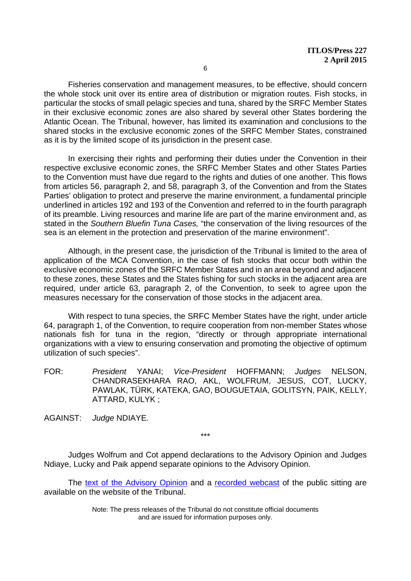Fisheries conservation and management measures, to be effective, should concern the whole stock unit over its entire area of distribution or migration routes. Fish stocks, in particular the stocks of small pelagic species and tuna, shared by the SRFC Member States in their exclusive economic zones are also shared by several other States bordering the Atlantic Ocean. The Tribunal, however, has limited its examination and conclusions to the shared stocks in the exclusive economic zones of the SRFC Member States, constrained as it is by the limited scope of its jurisdiction in the present case.

 In exercising their rights and performing their duties under the Convention in their respective exclusive economic zones, the SRFC Member States and other States Parties to the Convention must have due regard to the rights and duties of one another. This flows from articles 56, paragraph 2, and 58, paragraph 3, of the Convention and from the States Parties' obligation to protect and preserve the marine environment, a fundamental principle underlined in articles 192 and 193 of the Convention and referred to in the fourth paragraph of its preamble. Living resources and marine life are part of the marine environment and, as stated in the *Southern Bluefin Tuna Cases,* "the conservation of the living resources of the sea is an element in the protection and preservation of the marine environment".

 Although, in the present case, the jurisdiction of the Tribunal is limited to the area of application of the MCA Convention, in the case of fish stocks that occur both within the exclusive economic zones of the SRFC Member States and in an area beyond and adjacent to these zones, these States and the States fishing for such stocks in the adjacent area are required, under article 63, paragraph 2, of the Convention, to seek to agree upon the measures necessary for the conservation of those stocks in the adjacent area.

 With respect to tuna species, the SRFC Member States have the right, under article 64, paragraph 1, of the Convention, to require cooperation from non-member States whose nationals fish for tuna in the region, "directly or through appropriate international organizations with a view to ensuring conservation and promoting the objective of optimum utilization of such species".

FOR: *President* YANAI; *Vice-President* HOFFMANN; *Judges* NELSON, CHANDRASEKHARA RAO, AKL, WOLFRUM, JESUS, COT, LUCKY, PAWLAK, TÜRK, KATEKA, GAO, BOUGUETAIA, GOLITSYN, PAIK, KELLY, ATTARD, KULYK ;

AGAINST: *Judge* NDIAYE.

\*\*\*

 Judges Wolfrum and Cot append declarations to the Advisory Opinion and Judges Ndiaye, Lucky and Paik append separate opinions to the Advisory Opinion.

The text of the Advisory Opinion and a recorded webcast of the public sitting are available on the website of the Tribunal.

> Note: The press releases of the Tribunal do not constitute official documents and are issued for information purposes only.